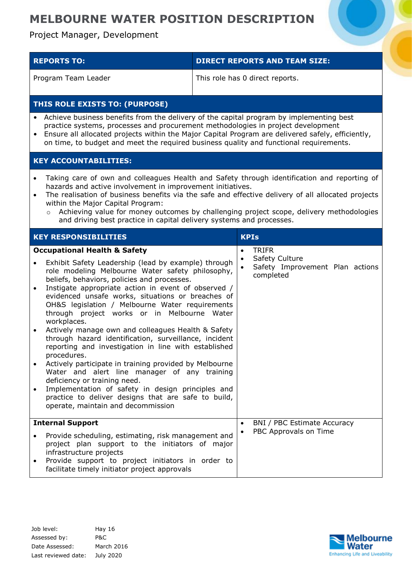Project Manager, Development

| <b>REPORTS TO:</b>                                                                                                                                                                                                                                                                                                                                                                                                                                                                                                                                                                                                                                                                                                                                                                                    | <b>DIRECT REPORTS AND TEAM SIZE:</b>                                                        |  |  |
|-------------------------------------------------------------------------------------------------------------------------------------------------------------------------------------------------------------------------------------------------------------------------------------------------------------------------------------------------------------------------------------------------------------------------------------------------------------------------------------------------------------------------------------------------------------------------------------------------------------------------------------------------------------------------------------------------------------------------------------------------------------------------------------------------------|---------------------------------------------------------------------------------------------|--|--|
| Program Team Leader                                                                                                                                                                                                                                                                                                                                                                                                                                                                                                                                                                                                                                                                                                                                                                                   | This role has 0 direct reports.                                                             |  |  |
| THIS ROLE EXISTS TO: (PURPOSE)                                                                                                                                                                                                                                                                                                                                                                                                                                                                                                                                                                                                                                                                                                                                                                        |                                                                                             |  |  |
| Achieve business benefits from the delivery of the capital program by implementing best<br>$\bullet$<br>practice systems, processes and procurement methodologies in project development<br>Ensure all allocated projects within the Major Capital Program are delivered safely, efficiently,<br>on time, to budget and meet the required business quality and functional requirements.                                                                                                                                                                                                                                                                                                                                                                                                               |                                                                                             |  |  |
| <b>KEY ACCOUNTABILITIES:</b>                                                                                                                                                                                                                                                                                                                                                                                                                                                                                                                                                                                                                                                                                                                                                                          |                                                                                             |  |  |
| Taking care of own and colleagues Health and Safety through identification and reporting of<br>$\bullet$<br>hazards and active involvement in improvement initiatives.<br>The realisation of business benefits via the safe and effective delivery of all allocated projects<br>$\bullet$<br>within the Major Capital Program:<br>Achieving value for money outcomes by challenging project scope, delivery methodologies<br>$\circ$<br>and driving best practice in capital delivery systems and processes.                                                                                                                                                                                                                                                                                          |                                                                                             |  |  |
| <b>KEY RESPONSIBILITIES</b>                                                                                                                                                                                                                                                                                                                                                                                                                                                                                                                                                                                                                                                                                                                                                                           | <b>KPIs</b>                                                                                 |  |  |
| <b>Occupational Health &amp; Safety</b><br>Exhibit Safety Leadership (lead by example) through<br>$\bullet$<br>role modeling Melbourne Water safety philosophy,<br>beliefs, behaviors, policies and processes.<br>Instigate appropriate action in event of observed /<br>$\bullet$<br>evidenced unsafe works, situations or breaches of<br>OH&S legislation / Melbourne Water requirements<br>through project works or in Melbourne Water<br>workplaces.<br>Actively manage own and colleagues Health & Safety<br>$\bullet$<br>through hazard identification, surveillance, incident<br>reporting and investigation in line with established<br>procedures.<br>Actively participate in training provided by Melbourne<br>Water and alert line manager of any training<br>deficiency or training need. | <b>TRIFR</b><br>$\bullet$<br>Safety Culture<br>Safety Improvement Plan actions<br>completed |  |  |

 Implementation of safety in design principles and practice to deliver designs that are safe to build, operate, maintain and decommission **Internal Support** Provide scheduling, estimating, risk management and project plan support to the initiators of major infrastructure projects Provide support to project initiators in order to facilitate timely initiator project approvals • BNI / PBC Estimate Accuracy PBC Approvals on Time

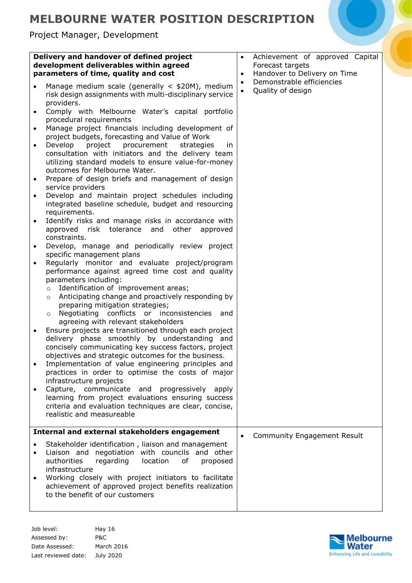Project Manager, Development

| Delivery and handover of defined project<br>development deliverables within agreed<br>parameters of time, quality and cost                                                                                                                                                                                                                                                                                                                                                                                                                                                                                                                                                                                                                                                                                                                                                                                                                                                                                                                                                                                                                                                                                                                                                                                                                                                                                                                                                                                                                                                                                                                                                                                                                                                                                                                                                                                                                                                     | Achievement of approved Capital<br>$\bullet$<br>Forecast targets<br>Handover to Delivery on Time<br>$\bullet$ |
|--------------------------------------------------------------------------------------------------------------------------------------------------------------------------------------------------------------------------------------------------------------------------------------------------------------------------------------------------------------------------------------------------------------------------------------------------------------------------------------------------------------------------------------------------------------------------------------------------------------------------------------------------------------------------------------------------------------------------------------------------------------------------------------------------------------------------------------------------------------------------------------------------------------------------------------------------------------------------------------------------------------------------------------------------------------------------------------------------------------------------------------------------------------------------------------------------------------------------------------------------------------------------------------------------------------------------------------------------------------------------------------------------------------------------------------------------------------------------------------------------------------------------------------------------------------------------------------------------------------------------------------------------------------------------------------------------------------------------------------------------------------------------------------------------------------------------------------------------------------------------------------------------------------------------------------------------------------------------------|---------------------------------------------------------------------------------------------------------------|
| Manage medium scale (generally $\lt$ \$20M), medium<br>risk design assignments with multi-disciplinary service<br>providers.<br>Comply with Melbourne Water's capital portfolio<br>procedural requirements<br>Manage project financials including development of<br>project budgets, forecasting and Value of Work<br>Develop<br>project<br>procurement<br>strategies<br>in.<br>$\bullet$<br>consultation with initiators and the delivery team<br>utilizing standard models to ensure value-for-money<br>outcomes for Melbourne Water.<br>Prepare of design briefs and management of design<br>$\bullet$<br>service providers<br>Develop and maintain project schedules including<br>$\bullet$<br>integrated baseline schedule, budget and resourcing<br>requirements.<br>Identify risks and manage risks in accordance with<br>$\bullet$<br>approved risk tolerance and<br>other<br>approved<br>constraints.<br>Develop, manage and periodically review project<br>$\bullet$<br>specific management plans<br>Regularly monitor and evaluate project/program<br>$\bullet$<br>performance against agreed time cost and quality<br>parameters including:<br>Identification of improvement areas;<br>$\circ$<br>Anticipating change and proactively responding by<br>$\circ$<br>preparing mitigation strategies;<br>Negotiating conflicts or inconsistencies and<br>$\circ$<br>agreeing with relevant stakeholders<br>Ensure projects are transitioned through each project<br>delivery phase smoothly by understanding and<br>concisely communicating key success factors, project<br>objectives and strategic outcomes for the business.<br>Implementation of value engineering principles and<br>practices in order to optimise the costs of major<br>infrastructure projects<br>Capture, communicate and progressively<br>apply<br>learning from project evaluations ensuring success<br>criteria and evaluation techniques are clear, concise,<br>realistic and measureable | Demonstrable efficiencies<br>$\bullet$<br>Quality of design<br>$\bullet$                                      |
| Internal and external stakeholders engagement                                                                                                                                                                                                                                                                                                                                                                                                                                                                                                                                                                                                                                                                                                                                                                                                                                                                                                                                                                                                                                                                                                                                                                                                                                                                                                                                                                                                                                                                                                                                                                                                                                                                                                                                                                                                                                                                                                                                  |                                                                                                               |
| Stakeholder identification, liaison and management<br>Liaison and negotiation with councils and other<br>authorities<br>regarding<br>location<br>of<br>proposed<br>infrastructure<br>Working closely with project initiators to facilitate<br>achievement of approved project benefits realization<br>to the benefit of our customers                                                                                                                                                                                                                                                                                                                                                                                                                                                                                                                                                                                                                                                                                                                                                                                                                                                                                                                                                                                                                                                                                                                                                                                                                                                                                                                                                                                                                                                                                                                                                                                                                                          | <b>Community Engagement Result</b>                                                                            |

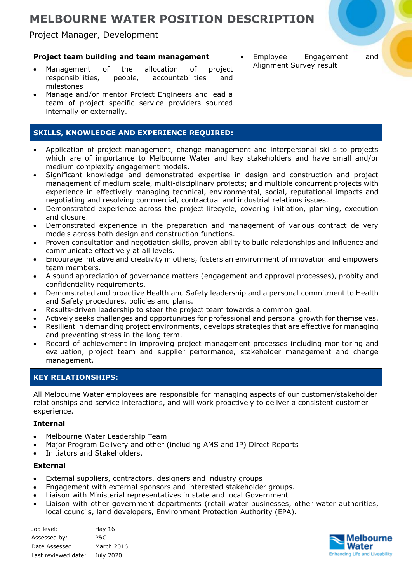Project Manager, Development

| Project team building and team management<br>allocation of<br>Management of the<br>project<br>responsibilities, people, accountabilities<br>and<br>milestones<br>Manage and/or mentor Project Engineers and lead a<br>team of project specific service providers sourced<br>internally or externally. | Employee<br>Engagement<br>and<br>Alignment Survey result |
|-------------------------------------------------------------------------------------------------------------------------------------------------------------------------------------------------------------------------------------------------------------------------------------------------------|----------------------------------------------------------|
| <b>SKILLS, KNOWLEDGE AND EXPERIENCE REQUIRED:</b>                                                                                                                                                                                                                                                     |                                                          |

- Application of project management, change management and interpersonal skills to projects which are of importance to Melbourne Water and key stakeholders and have small and/or medium complexity engagement models.
- Significant knowledge and demonstrated expertise in design and construction and project management of medium scale, multi-disciplinary projects; and multiple concurrent projects with experience in effectively managing technical, environmental, social, reputational impacts and negotiating and resolving commercial, contractual and industrial relations issues.
- Demonstrated experience across the project lifecycle, covering initiation, planning, execution and closure.
- Demonstrated experience in the preparation and management of various contract delivery models across both design and construction functions.
- Proven consultation and negotiation skills, proven ability to build relationships and influence and communicate effectively at all levels.
- Encourage initiative and creativity in others, fosters an environment of innovation and empowers team members.
- A sound appreciation of governance matters (engagement and approval processes), probity and confidentiality requirements.
- Demonstrated and proactive Health and Safety leadership and a personal commitment to Health and Safety procedures, policies and plans.
- Results-driven leadership to steer the project team towards a common goal.
- Actively seeks challenges and opportunities for professional and personal growth for themselves.
- Resilient in demanding project environments, develops strategies that are effective for managing and preventing stress in the long term.
- Record of achievement in improving project management processes including monitoring and evaluation, project team and supplier performance, stakeholder management and change management.

### **KEY RELATIONSHIPS:**

All Melbourne Water employees are responsible for managing aspects of our customer/stakeholder relationships and service interactions, and will work proactively to deliver a consistent customer experience.

#### **Internal**

- Melbourne Water Leadership Team
- Major Program Delivery and other (including AMS and IP) Direct Reports
- Initiators and Stakeholders.

### **External**

- External suppliers, contractors, designers and industry groups
- Engagement with external sponsors and interested stakeholder groups.
- Liaison with Ministerial representatives in state and local Government
- Liaison with other government departments (retail water businesses, other water authorities, local councils, land developers, Environment Protection Authority (EPA).

| Job level:          | Hay $16$   |
|---------------------|------------|
| Assessed by:        | P&C.       |
| Date Assessed:      | March 2016 |
| Last reviewed date: | July 2020  |